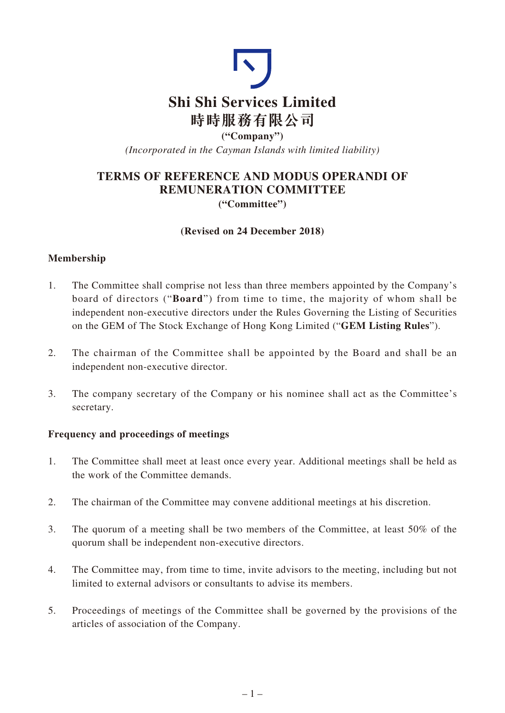

*(Incorporated in the Cayman Islands with limited liability)*

# **TERMS OF REFERENCE AND MODUS OPERANDI OF REMUNERATION COMMITTEE ("Committee")**

### **(Revised on 24 December 2018)**

# **Membership**

- 1. The Committee shall comprise not less than three members appointed by the Company's board of directors ("**Board**") from time to time, the majority of whom shall be independent non-executive directors under the Rules Governing the Listing of Securities on the GEM of The Stock Exchange of Hong Kong Limited ("**GEM Listing Rules**").
- 2. The chairman of the Committee shall be appointed by the Board and shall be an independent non-executive director.
- 3. The company secretary of the Company or his nominee shall act as the Committee's secretary.

### **Frequency and proceedings of meetings**

- 1. The Committee shall meet at least once every year. Additional meetings shall be held as the work of the Committee demands.
- 2. The chairman of the Committee may convene additional meetings at his discretion.
- 3. The quorum of a meeting shall be two members of the Committee, at least 50% of the quorum shall be independent non-executive directors.
- 4. The Committee may, from time to time, invite advisors to the meeting, including but not limited to external advisors or consultants to advise its members.
- 5. Proceedings of meetings of the Committee shall be governed by the provisions of the articles of association of the Company.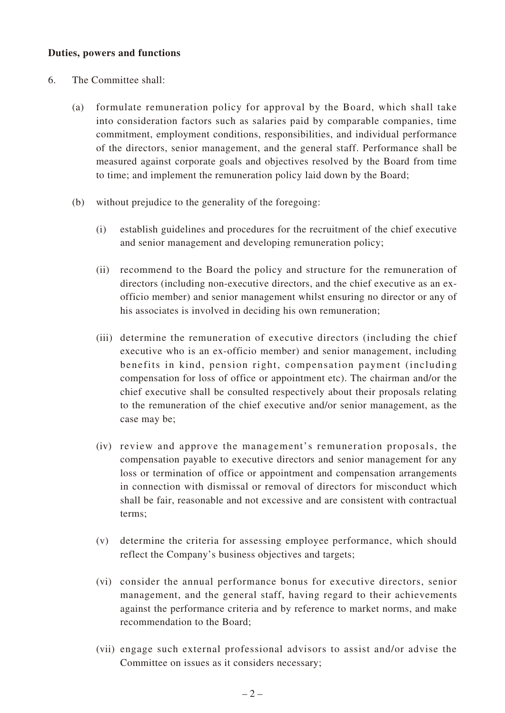#### **Duties, powers and functions**

- 6. The Committee shall:
	- (a) formulate remuneration policy for approval by the Board, which shall take into consideration factors such as salaries paid by comparable companies, time commitment, employment conditions, responsibilities, and individual performance of the directors, senior management, and the general staff. Performance shall be measured against corporate goals and objectives resolved by the Board from time to time; and implement the remuneration policy laid down by the Board;
	- (b) without prejudice to the generality of the foregoing:
		- (i) establish guidelines and procedures for the recruitment of the chief executive and senior management and developing remuneration policy;
		- (ii) recommend to the Board the policy and structure for the remuneration of directors (including non-executive directors, and the chief executive as an exofficio member) and senior management whilst ensuring no director or any of his associates is involved in deciding his own remuneration;
		- (iii) determine the remuneration of executive directors (including the chief executive who is an ex-officio member) and senior management, including benefits in kind, pension right, compensation payment (including compensation for loss of office or appointment etc). The chairman and/or the chief executive shall be consulted respectively about their proposals relating to the remuneration of the chief executive and/or senior management, as the case may be;
		- (iv) review and approve the management's remuneration proposals, the compensation payable to executive directors and senior management for any loss or termination of office or appointment and compensation arrangements in connection with dismissal or removal of directors for misconduct which shall be fair, reasonable and not excessive and are consistent with contractual terms;
		- (v) determine the criteria for assessing employee performance, which should reflect the Company's business objectives and targets;
		- (vi) consider the annual performance bonus for executive directors, senior management, and the general staff, having regard to their achievements against the performance criteria and by reference to market norms, and make recommendation to the Board;
		- (vii) engage such external professional advisors to assist and/or advise the Committee on issues as it considers necessary;